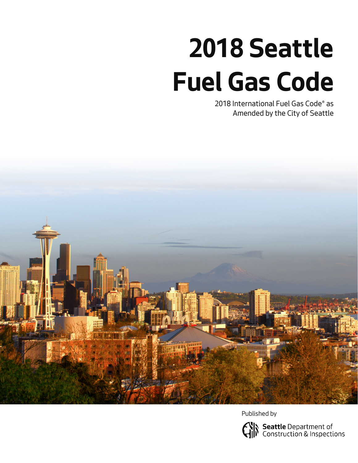# **2018 Seattle Fuel Gas Code**

2018 International Fuel Gas Code® as Amended by the City of Seattle



Published by



Seattle Department of<br>(iii) Construction & Inspections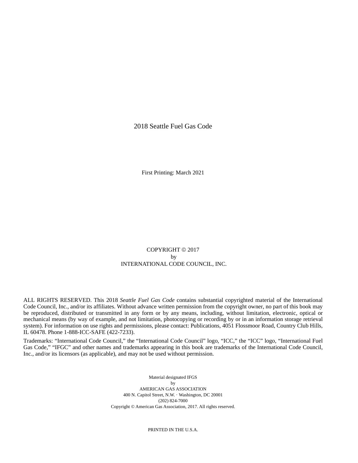2018 Seattle Fuel Gas Code 2018 Seattle Fuel Gas Code

First Printing: March 2021 First Printing: March 2021

#### COPYRIGHT © 2017 COPYRIGHT 2017 by by INTERNATIONAL CODE COUNCIL, INC. INTERNATIONAL CODE COUNCIL, INC.

ALL RIGHTS RESERVED. This 2018 Seattle Fuel Gas Code contains substantial copyrighted material of the International Code Council, Inc., and/or its affiliates. Without advance written permission from the copyright owner, no part of this book may be reproduced, distributed or transmitted in any form or by any means, including, without limitation, electronic, optical or mechanical means (by way of example, and not limitation, photocopying or recording by or in an information storage retrieval system). For information on use rights and permissions, please contact: Publications, 4051 Flossmoor Road, Country Club Hills, IL 60478. Phone 1-888-ICC-SAFE (422-7233). IL 60478. Phone 1-888-ICC-SAFE (422-7233).

Trademarks: "International Code Council," the "International Code Council" logo, "ICC," the "ICC" logo, "International Fuel Gas Code," "IFGC" and other names and trademarks appearing in this book are trademarks of the International Code Council, Inc., and/or its licensors (as applicable), and may not be used without permission. Inc., and/or its licensors (as applicable), and may not be used without permission.

> Material designated IFGS Material designated IFGS by by AMERICAN GAS ASSOCIATION AMERICAN GAS ASSOCIATION 400 N. Capitol Street, N.W. • Washington, DC 20001 400 N. Capitol Street, N.W. · Washington, DC 20001 (202) 824-7000 (202) 824-7000 Copyright © American Gas Association, 2017. All rights reserved. Copyright © American Gas Association, 2017. All rights reserved.

> > PRINTED IN THE U.S.A. PRINTED IN THE U.S.A.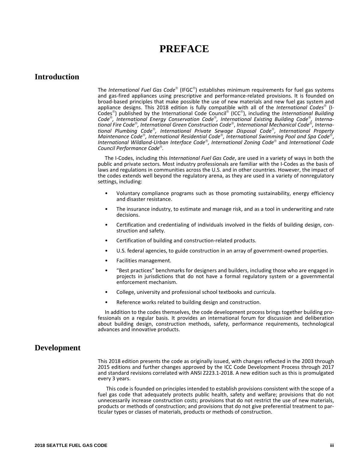## PREFACE **PREFACE**

#### Introduction **Introduction**

The *International Fuel Gas Code*® (IFGC®) establishes minimum requirements for fuel gas systems and gas-fired appliances using prescriptive and performance-related provisions. It is founded on and gas-fired appliances using prescriptive and performance-related provisions. It is founded on broad-based principles that make possible the use of new materials and new fuel gas system and broad-based principles that make possible the use of new materials and new fuel gas system and appliance designs. This 2018 edition is fully compatible with all of the International Codes® (I-appliance designs. This 2018 edition is fully compatible with all of the *International Codes* (I-Codes®) published by the International Code Council® (ICC®), including the International Building Codes ) published by the International Code Council (ICC ), including the *International Building* Code®, International Energy Conservation Code®, International Existing Building Code®, International Fire Code®, International Green Construction Code®, International Mechanical Code®, International Plumbing Code®, International Private Sewage Disposal Code®, International Property *tional Plumbing Code , International Private Sewage Disposal Code , International Property* Maintenance Code®, International Residential Code<sup>®</sup>, International Swimming Pool and Spa Code<sup>®</sup>, International Wildland-Urban Interface Code®, International Zoning Code® and International Code *International Wildland-Urban Interface Code , International Zoning Code* and *International Code* Council Performance Code®. *Council Performance Code* . Code<sup>®</sup>, International Energy Conservation Code<sup>®</sup>, International Existing Building Code<sup>®</sup>, Interna*tional Fire Code , International Green Construction Code* , *International Mechanical Code , Interna-*

The I-Codes, including this International Fuel Gas Code, are used in a variety of ways in both the The I-Codes, including this *International Fuel Gas Code*, are used in a variety of ways in both the public and private sectors. Most industry professionals are familiar with the I-Codes as the basis of public and private sectors. Most industry professionals are familiar with the I-Codes as the basis of laws and regulations in communities across the U.S. and in other countries. However, the impact of laws and regulations in communities across the U.S. and in other countries. However, the impact of the codes extends well beyond the regulatory arena, as they are used in a variety of nonregulatory the codes extends well beyond the regulatory arena, as they are used in a variety of nonregulatory settings, including: settings, including:

- Voluntary compliance programs such as those promoting sustainability, energy efficiency Voluntary compliance programs such as those promoting sustainability, energy efficiency and disaster resistance. and disaster resistance.
- The insurance industry, to estimate and manage risk, and as a tool in underwriting and rate The insurance industry, to estimate and manage risk, and as a tool in underwriting and rate decisions. decisions.
- Certification and credentialing of individuals involved in the fields of building design, con-• Certification and credentialing of individuals involved in the fields of building design, construction and safety. struction and safety.
- Certification of building and construction-related products. Certification of building and construction-related products.
- U.S. federal agencies, to guide construction in an array of government-owned properties. U.S. federal agencies, to guide construction in an array of government-owned properties.
- Facilities management. Facilities management.
- "Best practices" benchmarks for designers and builders, including those who are engaged in "Best practices" benchmarks for designers and builders, including those who are engaged in projects in jurisdictions that do not have a formal regulatory system or a governmental projects in jurisdictions that do not have a formal regulatory system or a governmental enforcement mechanism. enforcement mechanism.
- College, university and professional school textbooks and curricula. College, university and professional school textbooks and curricula.
- Reference works related to building design and construction. Reference works related to building design and construction.

In addition to the codes themselves, the code development process brings together building pro-In addition to the codes themselves, the code development process brings together building professionals on a regular basis. It provides an international forum for discussion and deliberation fessionals on a regular basis. It provides an international forum for discussion and deliberation about building design, construction methods, safety, performance requirements, technological about building design, construction methods, safety, performance requirements, technological advances and innovative products. advances and innovative products.

#### Development **Development**

This 2018 edition presents the code as originally issued, with changes reflected in the 2003 through This 2018 edition presents the code as originally issued, with changes reflected in the 2003 through 2015 editions and further changes approved by the ICC Code Development Process through 2017 2015 editions and further changes approved by the ICC Code Development Process through 2017 and standard revisions correlated with ANSI Z223.1-2018. A new edition such as this is promulgated and standard revisions correlated with ANSI Z223.1-2018. A new edition such as this is promulgated every 3 years. every 3 years.

This code is founded on principles intended to establish provisions consistent with the scope of a fuel gas code that adequately protects public health, safety and welfare; provisions that do not fuel gas code that adequately protects public health, safety and welfare; provisions that do not unnecessarily increase construction costs; provisions that do not restrict the use of new materials, unnecessarily increase construction costs; provisions that do not restrict the use of new materials, products or methods of construction; and provisions that do not give preferential treatment to par-products or methods of construction; and provisions that do not give preferential treatment to particular types or classes of materials, products or methods of construction. ticular types or classes of materials, products or methods of construction.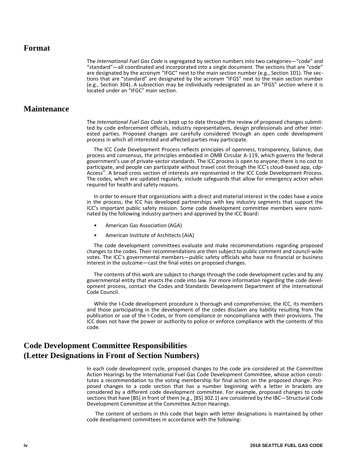### Format **Format**

The International Fuel Gas Code is segregated by section numbers into two categories—"code" and The *International Fuel Gas Code* is segregated by section numbers into two categories—"code" and "standard"—all coordinated and incorporated into a single document. The sections that are "code" are designated by the acronym "IFGC" next to the main section number (e.g., Section 101). The sec-are designated by the acronym "IFGC" next to the main section number (e.g., Section 101). The sections that are "standard" are designated by the acronym "IFGS" next to the main section number tions that are "standard" are designated by the acronym "IFGS" next to the main section number (e.g., Section 304). A subsection may be individually redesignated as an "IFGS" section where it is (e.g., Section 304). A subsection may be individually redesignated as an "IFGS" section where it is located under an "IFGC" main section. located under an "IFGC" main section.

#### Maintenance **Maintenance**

The International Fuel Gas Code is kept up to date through the review of proposed changes submit-The *International Fuel Gas Code* is kept up to date through the review of proposed changes submitted by code enforcement officials, industry representatives, design professionals and other inter-ted by code enforcement officials, industry representatives, design professionals and other interested parties. Proposed changes are carefully considered through an open code development ested parties. Proposed changes are carefully considered through an open code development process in which all interested and affected parties may participate. process in which all interested and affected parties may participate.

The ICC Code Development Process reflects principles of openness, transparency, balance, due The ICC Code Development Process reflects principles of openness, transparency, balance, due process and consensus, the principles embodied in OMB Circular A-119, which governs the federal process and consensus, the principles embodied in OMB Circular A-119, which governs the federal government's use of private-sector standards. The ICC process is open to anyone; there is no cost to government's use of private-sector standards. The ICC process is open to anyone; there is no cost to participate, and people can participate without travel cost through the ICC's cloud-based app, cdp-participate, and people can participate without travel cost through the ICC's cloud-based app, cdp-Access®. A broad cross section of interests are represented in the ICC Code Development Process. Access . A broad cross section of interests are represented in the ICC Code Development Process. The codes, which are updated regularly, include safeguards that allow for emergency action when The codes, which are updated regularly, include safeguards that allow for emergency action when required for health and safety reasons. required for health and safety reasons.

In order to ensure that organizations with a direct and material interest in the codes have a voice In order to ensure that organizations with a direct and material interest in the codes have a voice in the process, the ICC has developed partnerships with key industry segments that support the in the process, the ICC has developed partnerships with key industry segments that support the ICC's important public safety mission. Some code development committee members were nomi-ICC's important public safety mission. Some code development committee members were nominated by the following industry partners and approved by the ICC Board: nated by the following industry partners and approved by the ICC Board:

- American Gas Association (AGA) American Gas Association (AGA)
- American Institute of Architects (AIA) American Institute of Architects (AIA)

The code development committees evaluate and make recommendations regarding proposed The code development committees evaluate and make recommendations regarding proposed changes to the codes. Their recommendations are then subject to public comment and council-wide changes to the codes. Their recommendations are then subject to public comment and council-wide votes. The ICC's governmental members—public safety officials who have no financial or business votes. The ICC's governmental members—public safety officials who have no financial or business interest in the outcome—cast the final votes on proposed changes. interest in the outcome—cast the final votes on proposed changes.

The contents of this work are subject to change through the code development cycles and by any The contents of this work are subject to change through the code development cycles and by any governmental entity that enacts the code into law. For more information regarding the code devel-governmental entity that enacts the code into law. For more information regarding the code development process, contact the Codes and Standards Development Department of the International opment process, contact the Codes and Standards Development Department of the International Code Council. Code Council.

While the I-Code development procedure is thorough and comprehensive, the ICC, its members and those participating in the development of the codes disclaim any liability resulting from the and those participating in the development of the codes disclaim any liability resulting from the publication or use of the I-Codes, or from compliance or noncompliance with their provisions. The publication or use of the I-Codes, or from compliance or noncompliance with their provisions. The ICC does not have the power or authority to police or enforce compliance with the contents of this ICC does not have the power or authority to police or enforce compliance with the contents of this code. code.

## Code Development Committee Responsibilities **Code Development Committee Responsibilities** (Letter Designations in Front of Section Numbers) **(Letter Designations in Front of Section Numbers)**

In each code development cycle, proposed changes to the code are considered at the Committee In each code development cycle, proposed changes to the code are considered at the Committee Action Hearings by the International Fuel Gas Code Development Committee, whose action consti-Action Hearings by the International Fuel Gas Code Development Committee, whose action constitutes a recommendation to the voting membership for final action on the proposed change. Pro-tutes a recommendation to the voting membership for final action on the proposed change. Proposed changes to a code section that has a number beginning with a letter in brackets are posed changes to a code section that has a number beginning with a letter in brackets are considered by a different code development committee. For example, proposed changes to code considered by a different code development committee. For example, proposed changes to code sections that have [BS] in front of them (e.g., [BS] 302.1) are considered by the IBC—Structural Code sections that have [BS] in front of them (e.g., [BS] 302.1) are considered by the IBC—Structural Code Development Committee at the Committee Action Hearings. Development Committee at the Committee Action Hearings.

The content of sections in this code that begin with letter designations is maintained by other code development committees in accordance with the following: code development committees in accordance with the following: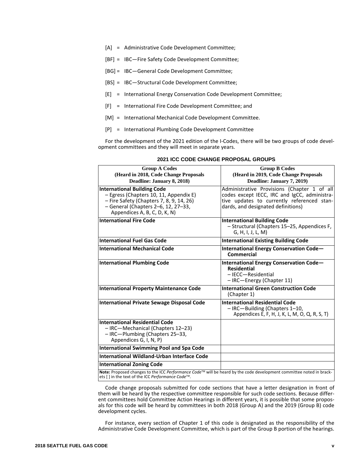- [A] = Administrative Code Development Committee; [A] = Administrative Code Development Committee;
- [BF] = IBC—Fire Safety Code Development Committee; [BF] = IBC—Fire Safety Code Development Committee;
- [BG] = IBC—General Code Development Committee; [BG] = IBC—General Code Development Committee;
- [BS] = IBC—Structural Code Development Committee; [BS] = IBC—Structural Code Development Committee;
- [E] = International Energy Conservation Code Development Committee; [E] = International Energy Conservation Code Development Committee;
- [F] = International Fire Code Development Committee; and [F] = International Fire Code Development Committee; and
- [M] = International Mechanical Code Development Committee. [M] = International Mechanical Code Development Committee.
- [P] = International Plumbing Code Development Committee [P] = International Plumbing Code Development Committee

For the development of the 2021 edition of the I-Codes, there will be two groups of code development committees and they will meet in separate years. opment committees and they will meet in separate years.

| <b>Group A Codes</b>                                                                                                                                                                            | <b>Group B Codes</b>                                                                                                                                                            |
|-------------------------------------------------------------------------------------------------------------------------------------------------------------------------------------------------|---------------------------------------------------------------------------------------------------------------------------------------------------------------------------------|
| (Heard in 2018, Code Change Proposals                                                                                                                                                           | (Heard in 2019, Code Change Proposals                                                                                                                                           |
| Deadline: January 8, 2018)                                                                                                                                                                      | Deadline: January 7, 2019)                                                                                                                                                      |
| <b>International Building Code</b><br>- Egress (Chapters 10, 11, Appendix E)<br>- Fire Safety (Chapters 7, 8, 9, 14, 26)<br>- General (Chapters 2–6, 12, 27–33,<br>Appendices A, B, C, D, K, N) | Administrative Provisions (Chapter 1 of all<br>codes except IECC, IRC and IgCC, administra-<br>tive updates to currently referenced stan-<br>dards, and designated definitions) |
| <b>International Fire Code</b>                                                                                                                                                                  | <b>International Building Code</b><br>- Structural (Chapters 15-25, Appendices F,<br>G, H, I, J, L, M                                                                           |
| <b>International Fuel Gas Code</b>                                                                                                                                                              | <b>International Existing Building Code</b>                                                                                                                                     |
| <b>International Mechanical Code</b>                                                                                                                                                            | International Energy Conservation Code-<br><b>Commercial</b>                                                                                                                    |
| <b>International Plumbing Code</b>                                                                                                                                                              | <b>International Energy Conservation Code-</b><br><b>Residential</b><br>- IECC-Residential<br>- IRC-Energy (Chapter 11)                                                         |
| <b>International Property Maintenance Code</b>                                                                                                                                                  | <b>International Green Construction Code</b><br>(Chapter 1)                                                                                                                     |
| International Private Sewage Disposal Code                                                                                                                                                      | <b>International Residential Code</b><br>- IRC-Building (Chapters 1-10,<br>Appendices E, F, H, J, K, L, M, O, Q, R, S, T)                                                       |
| <b>International Residential Code</b><br>- IRC-Mechanical (Chapters 12-23)<br>- IRC-Plumbing (Chapters 25-33,<br>Appendices G, I, N, P)                                                         |                                                                                                                                                                                 |
| <b>International Swimming Pool and Spa Code</b>                                                                                                                                                 |                                                                                                                                                                                 |
| International Wildland-Urban Interface Code                                                                                                                                                     |                                                                                                                                                                                 |
| <b>International Zoning Code</b>                                                                                                                                                                |                                                                                                                                                                                 |
| Note: Proposed changes to the ICC Performance Code™ will be heard by the code development committee noted in brack-<br>ets [] in the text of the ICC Performance Code™.                         |                                                                                                                                                                                 |

#### 2021 ICC CODE CHANGE PROPOSAL GROUPS **2021 ICC CODE CHANGE PROPOSAL GROUPS**

Code change proposals submitted for code sections that have a letter designation in front of Code change proposals submitted for code sections that have a letter designation in front of them will be heard by the respective committee responsible for such code sections. Because differ-them will be heard by the respective committee responsible for such code sections. Because different committees hold Committee Action Hearings in different years, it is possible that some propos-ent committees hold Committee Action Hearings in different years, it is possible that some proposals for this code will be heard by committees in both 2018 (Group A) and the 2019 (Group B) code als for this code will be heard by committees in both 2018 (Group A) and the 2019 (Group B) code

For instance, every section of Chapter 1 of this code is designated as the responsibility of the For instance, every section of Chapter 1 of this code is designated as the responsibility of the Administrative Code Development Committee, which is part of the Group B portion of the hearings. Administrative Code Development Committee, which is part of the Group B portion of the hearings.

development cycles. development cycles.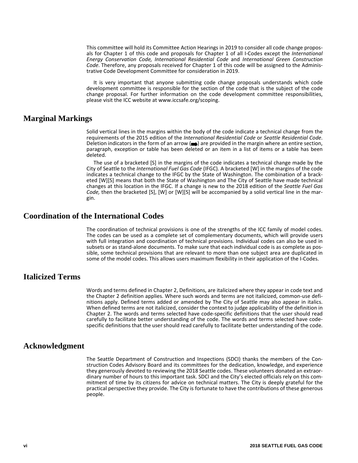This committee will hold its Committee Action Hearings in 2019 to consider all code change propos-This committee will hold its Committee Action Hearings in 2019 to consider all code change proposals for Chapter 1 of this code and proposals for Chapter 1 of all I-Codes except the International als for Chapter 1 of this code and proposals for Chapter 1 of all I-Codes except the *International* Energy Conservation Code, International Residential Code and International Green Construction *Energy Conservation Code, International Residential Code* and *International Green Construction* Code. Therefore, any proposals received for Chapter 1 of this code will be assigned to the Adminis-*Code*. Therefore, any proposals received for Chapter 1 of this code will be assigned to the Administrative Code Development Committee for consideration in 2019. trative Code Development Committee for consideration in 2019.

It is very important that anyone submitting code change proposals understands which code It is very important that anyone submitting code change proposals understands which code development committee is responsible for the section of the code that is the subject of the code development committee is responsible for the section of the code that is the subject of the code change proposal. For further information on the code development committee responsibilities, change proposal. For further information on the code development committee responsibilities, please visit the ICC website at www.iccsafe.org/scoping. please visit the ICC website at www.iccsafe.org/scoping.

#### Marginal Markings **Marginal Markings**

Solid vertical lines in the margins within the body of the code indicate a technical change from the Solid vertical lines in the margins within the body of the code indicate a technical change from the requirements of the 2015 edition of the International Residential Code or Seattle Residential Code. Deletion indicators in the form of an arrow  $(\implies)$  are provided in the margin where an entire section, paragraph, exception or table has been deleted or an item in a list of items or a table has been paragraph, exception or table has been deleted or an item in a list of items or a table has been deleted. deleted.

The use of a bracketed [S] in the margins of the code indicates a technical change made by the The use of a bracketed [S] in the margins of the code indicates a technical change made by the City of Seattle to the International Fuel Gas Code (IFGC). A bracketed [W] in the margins of the code City of Seattle to the *International Fuel Gas Code* (IFGC). A bracketed [W] in the margins of the code indicates a technical change to the IFGC by the State of Washington. The combination of a brack-indicates a technical change to the IFGC by the State of Washington. The combination of a bracketed [W][S] means that both the State of Washington and The City of Seattle have made technical eted [W][S] means that both the State of Washington and The City of Seattle have made technical changes at this location in the IFGC. If a change is new to the 2018 edition of the Seattle Fuel Gas changes at this location in the IFGC. If a change is new to the 2018 edition of the *Seattle Fuel Gas* Code, then the bracketed [S], [W] or [W][S] will be accompanied by a solid vertical line in the mar-*Code,* then the bracketed [S], [W] or [W][S] will be accompanied by a solid vertical line in the margin. gin.

### Coordination of the International Codes **Coordination of the International Codes**

The coordination of technical provisions is one of the strengths of the ICC family of model codes. The coordination of technical provisions is one of the strengths of the ICC family of model codes. The codes can be used as a complete set of complementary documents, which will provide users The codes can be used as a complete set of complementary documents, which will provide users with full integration and coordination of technical provisions. Individual codes can also be used in with full integration and coordination of technical provisions. Individual codes can also be used in subsets or as stand-alone documents. To make sure that each individual code is as complete as pos-subsets or as stand-alone documents. To make sure that each individual code is as complete as possible, some technical provisions that are relevant to more than one subject area are duplicated in sible, some technical provisions that are relevant to more than one subject area are duplicated in some of the model codes. This allows users maximum flexibility in their application of the I-Codes. some of the model codes. This allows users maximum flexibility in their application of the I-Codes.

#### Italicized Terms **Italicized Terms**

Words and terms defined in Chapter 2, Definitions, are italicized where they appear in code text and Words and terms defined in Chapter 2, Definitions, are italicized where they appear in code text and the Chapter 2 definition applies. Where such words and terms are not italicized, common-use defi-the Chapter 2 definition applies. Where such words and terms are not italicized, common-use definitions apply. Defined terms added or amended by The City of Seattle may also appear in italics. nitions apply. Defined terms added or amended by The City of Seattle may also appear in italics. When defined terms are not italicized, consider the context to judge applicability of the definition in When defined terms are not italicized, consider the context to judge applicability of the definition in Chapter 2. The words and terms selected have code-specific definitions that the user should read Chapter 2. The words and terms selected have code-specific definitions that the user should read carefully to facilitate better understanding of the code. The words and terms selected have code-carefully to facilitate better understanding of the code. The words and terms selected have codespecific definitions that the user should read carefully to facilitate better understanding of the code. specific definitions that the user should read carefully to facilitate better understanding of the code.

#### Acknowledgment **Acknowledgment**

The Seattle Department of Construction and Inspections (SDCI) thanks the members of the Con-The Seattle Department of Construction and Inspections (SDCI) thanks the members of the Construction Codes Advisory Board and its committees for the dedication, knowledge, and experience struction Codes Advisory Board and its committees for the dedication, knowledge, and experience they generously devoted to reviewing the 2018 Seattle codes. These volunteers donated an extraor-they generously devoted to reviewing the 2018 Seattle codes. These volunteers donated an extraordinary number of hours to this important task. SDCI and the City's elected officials rely on this com-dinary number of hours to this important task. SDCI and the City's elected officials rely on this commitment of time by its citizens for advice on technical matters. The City is deeply grateful for the mitment of time by its citizens for advice on technical matters. The City is deeply grateful for the practical perspective they provide. The City is fortunate to have the contributions of these generous practical perspective they provide. The City is fortunate to have the contributions of these generous people. people.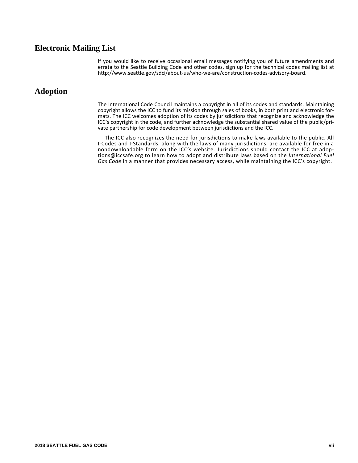#### Electronic Mailing List **Electronic Mailing List**

If you would like to receive occasional email messages notifying you of future amendments and If you would like to receive occasional email messages notifying you of future amendments and errata to the Seattle Building Code and other codes, sign up for the technical codes mailing list at errata to the Seattle Building Code and other codes, sign up for the technical codes mailing list at http://www.seattle.gov/sdci/about-us/who-we-a re/construction-codes-advisory-boa rd. http://www.seattle.gov/sdci/about-us/who-we-are/construction-codes-advisory-board.

#### Adoption **Adoption**

The International Code Council maintains a copyright in all of its codes and standards. Maintaining The International Code Council maintains a copyright in all of its codes and standards. Maintaining copyright allows the ICC to fund its mission through sales of books, in both print and electronic for-copyright allows the ICC to fund its mission through sales of books, in both print and electronic formats. The ICC welcomes adoption of its codes by jurisdictions that recognize and acknowledge the mats. The ICC welcomes adoption of its codes by jurisdictions that recognize and acknowledge the ICC's copyright in the code, and further acknowledge the substantial shared value of the public/pri-ICC's copyright in the code, and further acknowledge the substantial shared value of the public/private partnership for code development between jurisdictions and the ICC. vate partnership for code development between jurisdictions and the ICC.

The ICC also recognizes the need for jurisdictions to make laws available to the public. All The ICC also recognizes the need for jurisdictions to make laws available to the public. All I-Codes and I-Standards, along with the laws of many jurisdictions, are available for free in a I-Codes and I-Standards, along with the laws of many jurisdictions, are available for free in a nondownloadable form on the ICC's website. Jurisdictions should contact the ICC at adop-nondownloadable form on the ICC's website. Jurisdictions should contact the ICC at adoptions@iccsafe.org to learn how to adopt and distribute laws based on the International Fuel tions@iccsafe.org to learn how to adopt and distribute laws based on the *International Fuel* Gas Code in a manner that provides necessary access, while maintaining the ICC's copyright. *Gas Code* in a manner that provides necessary access, while maintaining the ICC's copyright.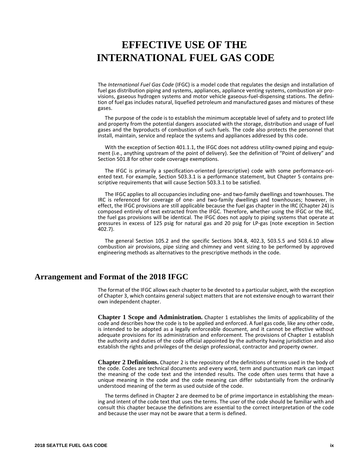# EFFECTIVE USE OF THE **EFFECTIVE USE OF THE** INTERNATIONAL FUEL GAS CODE  **INTERNATIONAL FUEL GAS CODE**

The International Fuel Gas Code (IFGC) is a model code that regulates the design and installation of The *International Fuel Gas Code* (IFGC) is a model code that regulates the design and installation of fuel gas distribution piping and systems, appliances, appliance venting systems, combustion air pro-fuel gas distribution piping and systems, appliances, appliance venting systems, combustion air provisions, gaseous hydrogen systems and motor vehicle gaseous-fuel-dispensing stations. The defini-visions, gaseous hydrogen systems and motor vehicle gaseous-fuel-dispensing stations. The definition of fuel gas includes natural, liquefied petroleum and manufactured gases and mixtures of these tion of fuel gas includes natural, liquefied petroleum and manufactured gases and mixtures of these gases. gases.

The purpose of the code is to establish the minimum acceptable level of safety and to protect life The purpose of the code is to establish the minimum acceptable level of safety and to protect life and property from the potential dangers associated with the storage, distribution and usage of fuel and property from the potential dangers associated with the storage, distribution and usage of fuel gases and the byproducts of combustion of such fuels. The code also protects the personnel that gases and the byproducts of combustion of such fuels. The code also protects the personnel that install, maintain, service and replace the systems and appliances addressed by this code. install, maintain, service and replace the systems and appliances addressed by this code.

With the exception of Section 401.1.1, the IFGC does not address utility-owned piping and equip-With the exception of Section 401.1.1, the IFGC does not address utility-owned piping and equipment (i.e., anything upstream of the point of delivery). See the definition of "Point of delivery" and ment (i.e., anything upstream of the point of delivery). See the definition of "Point of delivery" and Section 501.8 for other code coverage exemptions. Section 501.8 for other code coverage exemptions.

The IFGC is primarily a specification-oriented (prescriptive) code with some performance-ori-The IFGC is primarily a specification-oriented (prescriptive) code with some performance-oriented text. For example, Section 503.3.1 is a performance statement, but Chapter 5 contains pre-ented text. For example, Section 503.3.1 is a performance statement, but Chapter 5 contains prescriptive requirements that will cause Section 503.3.1 to be satisfied. scriptive requirements that will cause Section 503.3.1 to be satisfied.

The IFGC applies to all occupancies including one- and two-family dwellings and townhouses. The The IFGC applies to all occupancies including one- and two-family dwellings and townhouses. The IRC is referenced for coverage of one- and two-family dwellings and townhouses; however, in IRC is referenced for coverage of one- and two-family dwellings and townhouses; however, in effect, the IFGC provisions are still applicable because the fuel gas chapter in the IRC (Chapter 24) is effect, the IFGC provisions are still applicable because the fuel gas chapter in the IRC (Chapter 24) is composed entirely of text extracted from the IFGC. Therefore, whether using the IFGC or the IRC, composed entirely of text extracted from the IFGC. Therefore, whether using the IFGC or the IRC, the fuel gas provisions will be identical. The IFGC does not apply to piping systems that operate at the fuel gas provisions will be identical. The IFGC does not apply to piping systems that operate at pressures in excess of 125 psig for natural gas and 20 psig for LP-gas (note exception in Section pressures in excess of 125 psig for natural gas and 20 psig for LP-gas (note exception in Section 402.7). 402.7).

The general Section 105.2 and the specific Sections 304.8, 402.3, 503.5.5 and 503.6.10 allow The general Section 105.2 and the specific Sections 304.8, 402.3, 503.5.5 and 503.6.10 allow combustion air provisions, pipe sizing and chimney and vent sizing to be performed by approved combustion air provisions, pipe sizing and chimney and vent sizing to be performed by approved engineering methods as alternatives to the prescriptive methods in the code. engineering methods as alternatives to the prescriptive methods in the code.

### Arrangement and Format of the 2018 IFGC **Arrangement and Format of the 2018 IFGC**

The format of the IFGC allows each chapter to be devoted to a particular subject, with the exception The format of the IFGC allows each chapter to be devoted to a particular subject, with the exception of Chapter 3, which contains general subject matters that are not extensive enough to warrant their own independent chapter. own independent chapter.

Chapter 1 Scope and Administration. Chapter 1 establishes the limits of applicability of the **Chapter 1 Scope and Administration.** Chapter 1 establishes the limits of applicability of the code and describes how the code is to be applied and enforced. A fuel gas code, like any other code, code and describes how the code is to be applied and enforced. A fuel gas code, like any other code, is intended to be adopted as a legally enforceable document, and it cannot be effective without is intended to be adopted as a legally enforceable document, and it cannot be effective without adequate provisions for its administration and enforcement. The provisions of Chapter 1 establish adequate provisions for its administration and enforcement. The provisions of Chapter 1 establish the authority and duties of the code official appointed by the authority having jurisdiction and also the authority and duties of the code official appointed by the authority having jurisdiction and also establish the rights and privileges of the design professional, contractor and property owner. establish the rights and privileges of the design professional, contractor and property owner.

Chapter 2 Definitions. Chapter 2 is the repository of the definitions of terms used in the body of **Chapter 2 Definitions.** Chapter 2 is the repository of the definitions of terms used in the body of the code. Codes are technical documents and every word, term and punctuation mark can impact the code. Codes are technical documents and every word, term and punctuation mark can impact the meaning of the code text and the intended results. The code often uses terms that have a the meaning of the code text and the intended results. The code often uses terms that have a unique meaning in the code and the code meaning can differ substantially from the ordinarily unique meaning in the code and the code meaning can differ substantially from the ordinarily understood meaning of the term as used outside of the code. understood meaning of the term as used outside of the code.

The terms defined in Chapter 2 are deemed to be of prime importance in establishing the mean-The terms defined in Chapter 2 are deemed to be of prime importance in establishing the meaning and intent of the code text that uses the terms. The user of the code should be familiar with and ing and intent of the code text that uses the terms. The user of the code should be familiar with and consult this chapter because the definitions are essential to the correct interpretation of the code consult this chapter because the definitions are essential to the correct interpretation of the code and because the user may not be aware that a term is defined. and because the user may not be aware that a term is defined.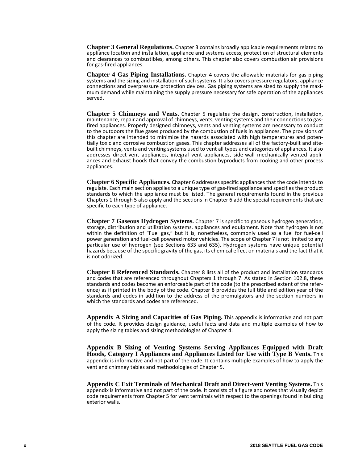Chapter 3 General Regulations. Chapter 3 contains broadly applicable requirements related to **Chapter 3 General Regulations.** Chapter 3 contains broadly applicable requirements related to appliance location and installation, appliance and systems access, protection of structural elements appliance location and installation, appliance and systems access, protection of structural elements and clearances to combustibles, among others. This chapter also covers combustion air provisions and clearances to combustibles, among others. This chapter also covers combustion air provisions for gas-fired appliances. for gas-fired appliances.

Chapter 4 Gas Piping Installations. Chapter 4 covers the allowable materials for gas piping **Chapter 4 Gas Piping Installations.** Chapter 4 covers the allowable materials for gas piping systems and the sizing and installation of such systems. It also covers pressure regulators, appliance systems and the sizing and installation of such systems. It also covers pressure regulators, appliance connections and overpressure protection devices. Gas piping systems are sized to supply the maxi-connections and overpressure protection devices. Gas piping systems are sized to supply the maximum demand while maintaining the supply pressure necessary for safe operation of the appliances mum demand while maintaining the supply pressure necessary for safe operation of the appliances served. served.

Chapter 5 Chimneys and Vents. Chapter 5 regulates the design, construction, installation, **Chapter 5 Chimneys and Vents.** Chapter 5 regulates the design, construction, installation, maintenance, repair and approval of chimneys, vents, venting systems and their connections to gas-maintenance, repair and approval of chimneys, vents, venting systems and their connections to gasfired appliances. Properly designed chimneys, vents and venting systems are necessary to conduct fired appliances. Properly designed chimneys, vents and venting systems are necessary to conduct to the outdoors the flue gases produced by the combustion of fuels in appliances. The provisions of to the outdoors the flue gases produced by the combustion of fuels in appliances. The provisions of this chapter are intended to minimize the hazards associated with high temperatures and poten-this chapter are intended to minimize the hazards associated with high temperatures and potentially toxic and corrosive combustion gases. This chapter addresses all of the factory-built and site-tially toxic and corrosive combustion gases. This chapter addresses all of the factory-built and sitebuilt chimneys, vents and venting systems used to vent all types and categories of appliances. It also built chimneys, vents and venting systems used to vent all types and categories of appliances. It also addresses direct-vent appliances, integral vent appliances, side-wall mechanically vented appli-addresses direct-vent appliances, integral vent appliances, side-wall mechanically vented appliances and exhaust hoods that convey the combustion byproducts from cooking and other process ances and exhaust hoods that convey the combustion byproducts from cooking and other process appliances. appliances.

Chapter 6 Specific Appliances. Chapter 6 addresses specific appliances that the code intends to **Chapter 6 Specific Appliances.** Chapter 6 addresses specific appliances that the code intends to regulate. Each main section applies to a unique type of gas-fired appliance and specifies the product regulate. Each main section applies to a unique type of gas-fired appliance and specifies the product standards to which the appliance must be listed. The general requirements found in the previous standards to which the appliance must be listed. The general requirements found in the previous Chapters 1 through 5 also apply and the sections in Chapter 6 add the special requirements that are Chapters 1 through 5 also apply and the sections in Chapter 6 add the special requirements that are specific to each type of appliance. specific to each type of appliance.

Chapter 7 Gaseous Hydrogen Systems. Chapter 7 is specific to gaseous hydrogen generation, **Chapter 7 Gaseous Hydrogen Systems.** Chapter 7 is specific to gaseous hydrogen generation, storage, distribution and utilization systems, appliances and equipment. Note that hydrogen is not storage, distribution and utilization systems, appliances and equipment. Note that hydrogen is not within the definition of "Fuel gas," but it is, nonetheless, commonly used as a fuel for fuel-cell within the definition of "Fuel gas," but it is, nonetheless, commonly used as a fuel for fuel-cell power generation and fuel-cell powered motor vehicles. The scope of Chapter 7 is not limited to any power generation and fuel-cell powered motor vehicles. The scope of Chapter 7 is not limited to any particular use of hydrogen (see Sections 633 and 635). Hydrogen systems have unique potential particular use of hydrogen (see Sections 633 and 635). Hydrogen systems have unique potential hazards because of the specific gravity of the gas, its chemical effect on materials and the fact that it hazards because of the specific gravity of the gas, its chemical effect on materials and the fact that it is not odorized. is not odorized.

Chapter 8 Referenced Standards. Chapter 8 lists all of the product and installation standards **Chapter 8 Referenced Standards.** Chapter 8 lists all of the product and installation standards and codes that are referenced throughout Chapters 1 through 7. As stated in Section 102.8, these and codes that are referenced throughout Chapters 1 through 7. As stated in Section 102.8, these standards and codes become an enforceable part of the code (to the prescribed extent of the refer-standards and codes become an enforceable part of the code (to the prescribed extent of the reference) as if printed in the body of the code. Chapter 8 provides the full title and edition year of the ence) as if printed in the body of the code. Chapter 8 provides the full title and edition year of the standards and codes in addition to the address of the promulgators and the section numbers in standards and codes in addition to the address of the promulgators and the section numbers in which the standards and codes are referenced. which the standards and codes are referenced.

Appendix A Sizing and Capacities of Gas Piping. This appendix is informative and not part **Appendix A Sizing and Capacities of Gas Piping.** This appendix is informative and not part of the code. It provides design guidance, useful facts and data and multiple examples of how to apply the sizing tables and sizing methodologies of Chapter 4. apply the sizing tables and sizing methodologies of Chapter 4.

Appendix B Sizing of Venting Systems Serving Appliances Equipped with Draft **Appendix B Sizing of Venting Systems Serving Appliances Equipped with Draft** Hoods, Category I Appliances and Appliances Listed for Use with Type B Vents. This **Hoods, Category I Appliances and Appliances Listed for Use with Type B Vents.** This appendix is informative and not part of the code. It contains multiple examples of how to apply the appendix is informative and not part of the code. It contains multiple examples of how to apply the vent and chimney tables and methodologies of Chapter 5. vent and chimney tables and methodologies of Chapter 5.

Appendix C Exit Terminals of Mechanical Draft and Direct-vent Venting Systems. This **Appendix C Exit Terminals of Mechanical Draft and Direct-vent Venting Systems.** This appendix is informative and not part of the code. It consists of a figure and notes that visually depict appendix is informative and not part of the code. It consists of a figure and notes that visually depict code requirements from Chapter 5 for vent terminals with respect to the openings found in building code requirements from Chapter 5 for vent terminals with respect to the openings found in building exterior walls. exterior walls.